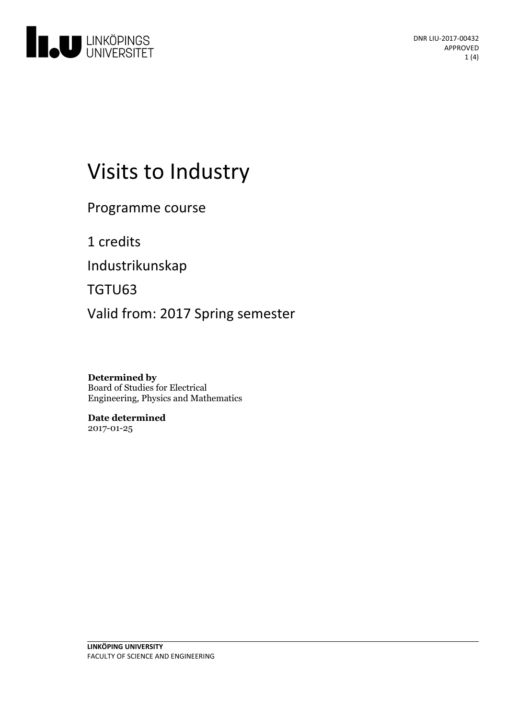

# Visits to Industry

Programme course

1 credits

Industrikunskap

TGTU63

Valid from: 2017 Spring semester

**Determined by** Board of Studies for Electrical Engineering, Physics and Mathematics

**Date determined** 2017-01-25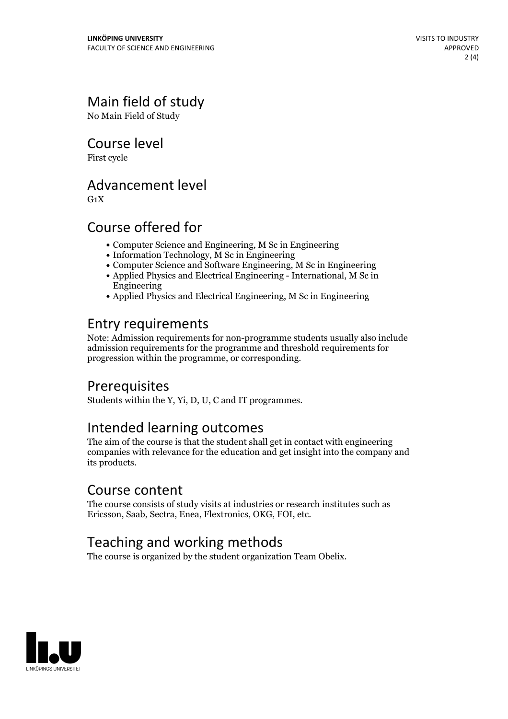# Main field of study

No Main Field of Study

Course level

First cycle

#### Advancement level

 $G_1X$ 

#### Course offered for

- Computer Science and Engineering, M Sc in Engineering
- Information Technology, M Sc in Engineering
- Computer Science and Software Engineering, M Sc in Engineering
- Applied Physics and Electrical Engineering International, M Sc in Engineering
- Applied Physics and Electrical Engineering, M Sc in Engineering

#### Entry requirements

Note: Admission requirements for non-programme students usually also include admission requirements for the programme and threshold requirements for progression within the programme, or corresponding.

### Prerequisites

Students within the Y, Yi, D, U, C and IT programmes.

#### Intended learning outcomes

The aim of the course is that the student shall get in contact with engineering companies with relevance for the education and get insight into the company and its products.

#### Course content

The course consists of study visits at industries or research institutes such as Ericsson, Saab, Sectra, Enea, Flextronics, OKG, FOI, etc.

### Teaching and working methods

The course is organized by the student organization Team Obelix.

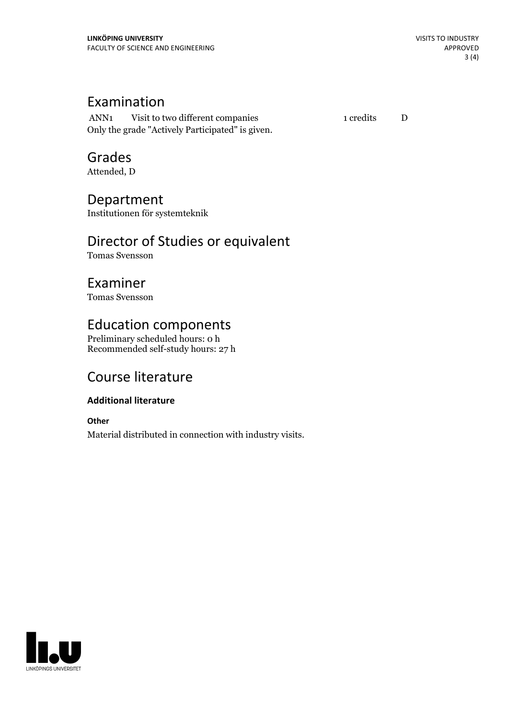#### Examination

ANN1 Visit to two different companies 1 credits D Only the grade "Actively Participated" is given.

# Grades

Attended, D

#### Department

Institutionen för systemteknik

### Director of Studies or equivalent

Tomas Svensson

#### Examiner

Tomas Svensson

### Education components

Preliminary scheduled hours: 0 h Recommended self-study hours: 27 h

# Course literature

#### **Additional literature**

**Other**

Material distributed in connection with industry visits.